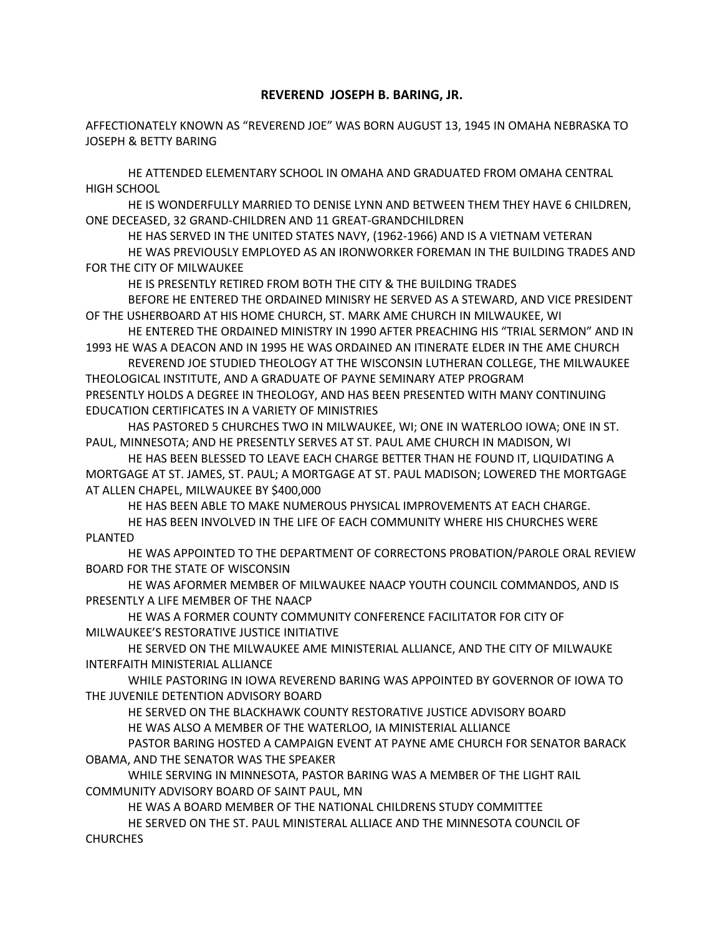## **REVEREND JOSEPH B. BARING, JR.**

AFFECTIONATELY KNOWN AS "REVEREND JOE" WAS BORN AUGUST 13, 1945 IN OMAHA NEBRASKA TO JOSEPH & BETTY BARING

HE ATTENDED ELEMENTARY SCHOOL IN OMAHA AND GRADUATED FROM OMAHA CENTRAL HIGH SCHOOL

HE IS WONDERFULLY MARRIED TO DENISE LYNN AND BETWEEN THEM THEY HAVE 6 CHILDREN, ONE DECEASED, 32 GRAND-CHILDREN AND 11 GREAT-GRANDCHILDREN

HE HAS SERVED IN THE UNITED STATES NAVY, (1962-1966) AND IS A VIETNAM VETERAN

HE WAS PREVIOUSLY EMPLOYED AS AN IRONWORKER FOREMAN IN THE BUILDING TRADES AND FOR THE CITY OF MILWAUKEE

HE IS PRESENTLY RETIRED FROM BOTH THE CITY & THE BUILDING TRADES

BEFORE HE ENTERED THE ORDAINED MINISRY HE SERVED AS A STEWARD, AND VICE PRESIDENT OF THE USHERBOARD AT HIS HOME CHURCH, ST. MARK AME CHURCH IN MILWAUKEE, WI

HE ENTERED THE ORDAINED MINISTRY IN 1990 AFTER PREACHING HIS "TRIAL SERMON" AND IN 1993 HE WAS A DEACON AND IN 1995 HE WAS ORDAINED AN ITINERATE ELDER IN THE AME CHURCH

REVEREND JOE STUDIED THEOLOGY AT THE WISCONSIN LUTHERAN COLLEGE, THE MILWAUKEE THEOLOGICAL INSTITUTE, AND A GRADUATE OF PAYNE SEMINARY ATEP PROGRAM PRESENTLY HOLDS A DEGREE IN THEOLOGY, AND HAS BEEN PRESENTED WITH MANY CONTINUING

EDUCATION CERTIFICATES IN A VARIETY OF MINISTRIES

HAS PASTORED 5 CHURCHES TWO IN MILWAUKEE, WI; ONE IN WATERLOO IOWA; ONE IN ST. PAUL, MINNESOTA; AND HE PRESENTLY SERVES AT ST. PAUL AME CHURCH IN MADISON, WI

HE HAS BEEN BLESSED TO LEAVE EACH CHARGE BETTER THAN HE FOUND IT, LIQUIDATING A MORTGAGE AT ST. JAMES, ST. PAUL; A MORTGAGE AT ST. PAUL MADISON; LOWERED THE MORTGAGE AT ALLEN CHAPEL, MILWAUKEE BY \$400,000

HE HAS BEEN ABLE TO MAKE NUMEROUS PHYSICAL IMPROVEMENTS AT EACH CHARGE.

HE HAS BEEN INVOLVED IN THE LIFE OF EACH COMMUNITY WHERE HIS CHURCHES WERE PLANTED

HE WAS APPOINTED TO THE DEPARTMENT OF CORRECTONS PROBATION/PAROLE ORAL REVIEW BOARD FOR THE STATE OF WISCONSIN

HE WAS AFORMER MEMBER OF MILWAUKEE NAACP YOUTH COUNCIL COMMANDOS, AND IS PRESENTLY A LIFE MEMBER OF THE NAACP

HE WAS A FORMER COUNTY COMMUNITY CONFERENCE FACILITATOR FOR CITY OF MILWAUKEE'S RESTORATIVE JUSTICE INITIATIVE

HE SERVED ON THE MILWAUKEE AME MINISTERIAL ALLIANCE, AND THE CITY OF MILWAUKE INTERFAITH MINISTERIAL ALLIANCE

WHILE PASTORING IN IOWA REVEREND BARING WAS APPOINTED BY GOVERNOR OF IOWA TO THE JUVENILE DETENTION ADVISORY BOARD

HE SERVED ON THE BLACKHAWK COUNTY RESTORATIVE JUSTICE ADVISORY BOARD HE WAS ALSO A MEMBER OF THE WATERLOO, IA MINISTERIAL ALLIANCE

PASTOR BARING HOSTED A CAMPAIGN EVENT AT PAYNE AME CHURCH FOR SENATOR BARACK OBAMA, AND THE SENATOR WAS THE SPEAKER

WHILE SERVING IN MINNESOTA, PASTOR BARING WAS A MEMBER OF THE LIGHT RAIL COMMUNITY ADVISORY BOARD OF SAINT PAUL, MN

HE WAS A BOARD MEMBER OF THE NATIONAL CHILDRENS STUDY COMMITTEE

HE SERVED ON THE ST. PAUL MINISTERAL ALLIACE AND THE MINNESOTA COUNCIL OF CHURCHES